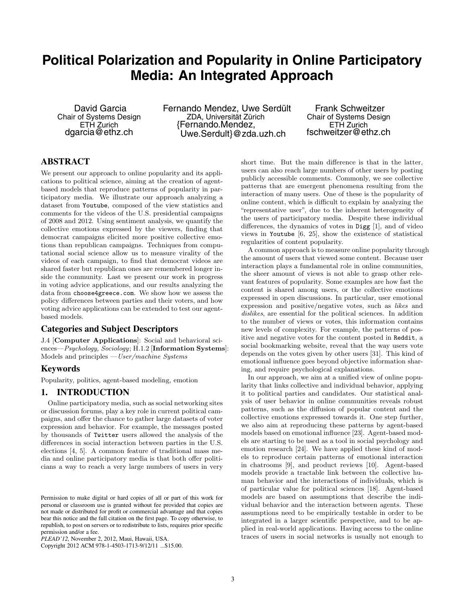# **Political Polarization and Popularity in Online Participatory Media: An Integrated Approach**

David Garcia Chair of Systems Design ETH Zurich dgarcia@ethz.ch

Fernando Mendez, Uwe Serdült ZDA, Universität Zürich {Fernando.Mendez, Uwe.Serdult}@zda.uzh.ch

Frank Schweitzer Chair of Systems Design ETH Zurich fschweitzer@ethz.ch

# **ABSTRACT**

We present our approach to online popularity and its applications to political science, aiming at the creation of agentbased models that reproduce patterns of popularity in participatory media. We illustrate our approach analyzing a dataset from Youtube, composed of the view statistics and comments for the videos of the U.S. presidential campaigns of 2008 and 2012. Using sentiment analysis, we quantify the collective emotions expressed by the viewers, finding that democrat campaigns elicited more positive collective emotions than republican campaigns. Techniques from computational social science allow us to measure virality of the videos of each campaign, to find that democrat videos are shared faster but republican ones are remembered longer inside the community. Last we present our work in progress in voting advice applications, and our results analyzing the data from choose4greece.com. We show how we assess the policy differences between parties and their voters, and how voting advice applications can be extended to test our agentbased models.

## **Categories and Subject Descriptors**

J.4 [**Computer Applications**]: Social and behavioral sciences—Psychology, Sociology; H.1.2 [**Information Systems**]: Models and principles —User/machine Systems

## **Keywords**

Popularity, politics, agent-based modeling, emotion

## **1. INTRODUCTION**

Online participatory media, such as social networking sites or discussion forums, play a key role in current political campaigns, and offer the chance to gather large datasets of voter expression and behavior. For example, the messages posted by thousands of Twitter users allowed the analysis of the differences in social interaction between parties in the U.S. elections [4, 5]. A common feature of traditional mass media and online participatory media is that both offer politicians a way to reach a very large numbers of users in very

Copyright 2012 ACM 978-1-4503-1713-9/12/11 ...\$15.00.

short time. But the main difference is that in the latter, users can also reach large numbers of other users by posting publicly accessible comments. Commonly, we see collective patterns that are emergent phenomena resulting from the interaction of many users. One of these is the popularity of online content, which is difficult to explain by analyzing the "representative user", due to the inherent heterogeneity of the users of participatory media. Despite these individual differences, the dynamics of votes in Digg [1], and of video views in Youtube [6, 25], show the existence of statistical regularities of content popularity.

A common approach is to measure online popularity through the amount of users that viewed some content. Because user interaction plays a fundamental role in online communities, the sheer amount of views is not able to grasp other relevant features of popularity. Some examples are how fast the content is shared among users, or the collective emotions expressed in open discussions. In particular, user emotional expression and positive/negative votes, such as likes and dislikes, are essential for the political sciences. In addition to the number of views or votes, this information contains new levels of complexity. For example, the patterns of positive and negative votes for the content posted in Reddit, a social bookmarking website, reveal that the way users vote depends on the votes given by other users [31]. This kind of emotional influence goes beyond objective information sharing, and require psychological explanations.

In our approach, we aim at a unified view of online popularity that links collective and individual behavior, applying it to political parties and candidates. Our statistical analysis of user behavior in online communities reveals robust patterns, such as the diffusion of popular content and the collective emotions expressed towards it. One step further, we also aim at reproducing these patterns by agent-based models based on emotional influence [23]. Agent-based models are starting to be used as a tool in social psychology and emotion research [24]. We have applied these kind of models to reproduce certain patterns of emotional interaction in chatrooms [9], and product reviews [10]. Agent-based models provide a tractable link between the collective human behavior and the interactions of individuals, which is of particular value for political sciences [18]. Agent-based models are based on assumptions that describe the individual behavior and the interaction between agents. These assumptions need to be empirically testable in order to be integrated in a larger scientific perspective, and to be applied in real-world applications. Having access to the online traces of users in social networks is usually not enough to

Permission to make digital or hard copies of all or part of this work for personal or classroom use is granted without fee provided that copies are not made or distributed for profit or commercial advantage and that copies bear this notice and the full citation on the first page. To copy otherwise, to republish, to post on servers or to redistribute to lists, requires prior specific permission and/or a fee.

*PLEAD'12,* November 2, 2012, Maui, Hawaii, USA.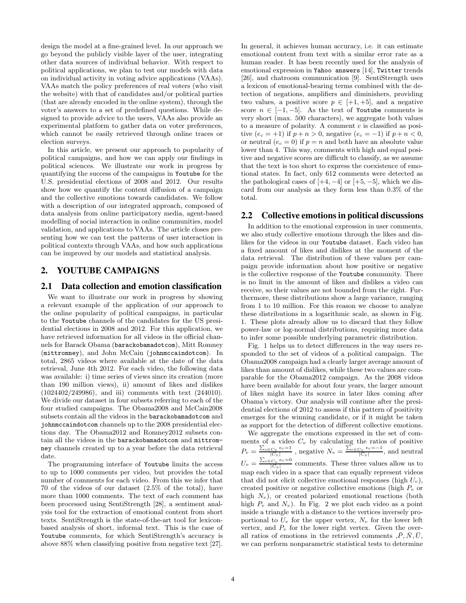design the model at a fine-grained level. In our approach we go beyond the publicly visible layer of the user, integrating other data sources of individual behavior. With respect to political applications, we plan to test our models with data on individual activity in voting advice applications (VAAs). VAAs match the policy preferences of real voters (who visit the website) with that of candidates and/or political parties (that are already encoded in the online system), through the voter's answers to a set of predefined questions. While designed to provide advice to the users, VAAs also provide an experimental platform to gather data on voter preferences, which cannot be easily retrieved through online traces or election surveys.

In this article, we present our approach to popularity of political campaigns, and how we can apply our findings in political sciences. We illustrate our work in progress by quantifying the success of the campaigns in Youtube for the U.S. presidential elections of 2008 and 2012. Our results show how we quantify the content diffusion of a campaign and the collective emotions towards candidates. We follow with a description of our integrated approach, composed of data analysis from online participatory media, agent-based modelling of social interaction in online communities, model validation, and applications to VAAs. The article closes presenting how we can test the patterns of user interaction in political contexts through VAAs, and how such applications can be improved by our models and statistical analysis.

# **2. YOUTUBE CAMPAIGNS**

#### **2.1 Data collection and emotion classification**

We want to illustrate our work in progress by showing a relevant example of the application of our approach to the online popularity of political campaigns, in particular to the Youtube channels of the candidates for the US presidential elections in 2008 and 2012. For this application, we have retrieved information for all videos in the official channels for Barack Obama (barackobamadotcom), Mitt Romney (mittromney), and John McCain (johnmccaindotcom). In total, 2865 videos where available at the date of the data retrieval, June 4th 2012. For each video, the following data was available: i) time series of views since its creation (more than 190 million views), ii) amount of likes and dislikes (1024402/249986), and iii) comments with text (244010). We divide our dataset in four subsets referring to each of the four studied campaigns. The Obama2008 and McCain2008 subsets contain all the videos in the barackobamadotcom and johnmccaindotcom channels up to the 2008 presidential elections day. The Obama2012 and Romney2012 subsets contain all the videos in the barackobamadotcom and mittromney channels created up to a year before the data retrieval date.

The programming interface of Youtube limits the access to up to 1000 comments per video, but provides the total number of comments for each video. From this we infer that 70 of the videos of our dataset (2.5% of the total), have more than 1000 comments. The text of each comment has been processed using SentiStrength [28], a sentiment analysis tool for the extraction of emotional content from short texts. SentiStrength is the state-of-the-art tool for lexiconbased analysis of short, informal text. This is the case of Youtube comments, for which SentiStrength's accuracy is above 88% when classifying positive from negative text [27].

In general, it achieves human accuracy, i.e. it can estimate emotional content from text with a similar error rate as a human reader. It has been recently used for the analysis of emotional expression in Yahoo answers [14], Twitter trends [26], and chatroom communication [9]. SentiStrength uses a lexicon of emotional-bearing terms combined with the detection of negations, amplifiers and diminishers, providing two values, a positive score  $p \in [+1, +5]$ , and a negative score  $n \in [-1, -5]$ . As the text of Youtube comments is very short (max. 500 characters), we aggregate both values to a measure of polarity. A comment  $c$  is classified as positive  $(e_c = +1)$  if  $p + n > 0$ , negative  $(e_c = -1)$  if  $p + n < 0$ , or neutral  $(e_c = 0)$  if  $p = n$  and both have an absolute value lower than 4. This way, comments with high and equal positive and negative scores are difficult to classify, as we assume that the text is too short to express the coexistence of emotional states. In fact, only 612 comments were detected as the pathological cases of  $[+4, -4]$  or  $[+5, -5]$ , which we discard from our analysis as they form less than 0.3% of the total.

## **2.2 Collective emotions in political discussions**

In addition to the emotional expression in user comments, we also study collective emotions through the likes and dislikes for the videos in our Youtube dataset. Each video has a fixed amount of likes and dislikes at the moment of the data retrieval. The distribution of these values per campaign provide information about how positive or negative is the collective response of the Youtube community. There is no limit in the amount of likes and dislikes a video can receive, so their values are not bounded from the right. Furthermore, these distributions show a large variance, ranging from 1 to 10 million. For this reason we choose to analyze these distributions in a logarithmic scale, as shown in Fig. 1. These plots already allow us to discard that they follow power-law or log-normal distributions, requiring more data to infer some possible underlying parametric distribution.

Fig. 1 helps us to detect differences in the way users responded to the set of videos of a political campaign. The Obama2008 campaign had a clearly larger average amount of likes than amount of dislikes, while these two values are comparable for the Obama2012 campaign. As the 2008 videos have been available for about four years, the larger amount of likes might have its source in later likes coming after Obama's victory. Our analysis will continue after the presidential elections of 2012 to assess if this pattern of positivity emerges for the winning candidate, or if it might be taken as support for the detection of different collective emotions.

We aggregate the emotions expressed in the set of comments of a video  $C_v$  by calculating the ratios of positive  $P_v = \frac{\sum_{c \in C_v} e_c = 1}{|C_v|}$ , negative  $N_v = \frac{\sum_{c \in C_v} e_c = -1}{|C_v|}$ , and neutral  $U_v = \frac{\sum_{c \in C_v} e_c = 0}{|C_v|}$  comments. These three values allow us to map each video in a space that can equally represent videos that did not elicit collective emotional responses (high  $U_v$ ), created positive or negative collective emotions (high P*<sup>v</sup>* or high  $N_v$ ), or created polarized emotional reactions (both high  $P_v$  and  $N_v$ ). In Fig. 2 we plot each video as a point inside a triangle with a distance to the vertices inversely proportional to  $U_v$  for the upper vertex,  $N_v$  for the lower left vertex, and  $P_v$  for the lower right vertex. Given the overall ratios of emotions in the retrieved comments  $P, N, U$ , we can perform nonparametric statistical tests to determine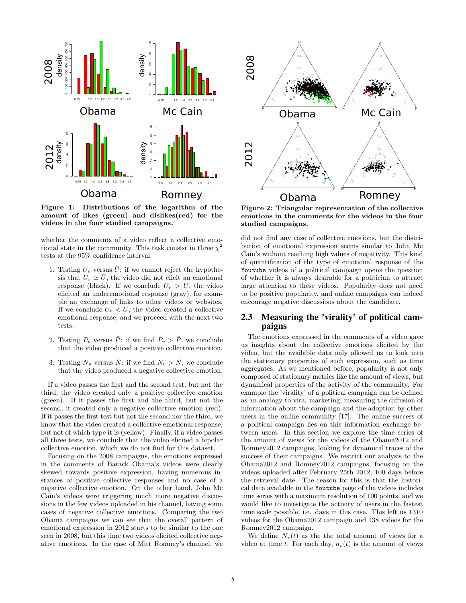

**Figure 1: Distributions of the logarithm of the amount of likes (green) and dislikes(red) for the videos in the four studied campaigns.**

whether the comments of a video reflect a collective emotional state in the community. This task consist in three  $\chi^2$ tests at the 95% confidence interval:

- 1. Testing  $U_v$  versus  $\bar{U}$ : if we cannot reject the hypothesis that  $U_v \simeq \bar{U}$ , the video did not elicit an emotional response (black). If we conclude  $U_v > \bar{U}$ , the video elicited an underemotional response (gray), for example an exchange of links to other videos or websites. If we conclude  $U_v < \bar{U}$ , the video created a collective emotional response, and we proceed with the next two tests.
- 2. Testing  $P_v$  versus  $\bar{P}$ : if we find  $P_v > \bar{P}$ , we conclude that the video produced a positive collective emotion.
- 3. Testing  $N_v$  versus  $\overline{N}$ : if we find  $N_v > \overline{N}$ , we conclude that the video produced a negative collective emotion.

If a video passes the first and the second test, but not the third, the video created only a positive collective emotion (green). If it passes the first and the third, but not the second, it created only a negative collective emotion (red). If it passes the first test but not the second nor the third, we know that the video created a collective emotional response, but not of which type it is (yellow). Finally, if a video passes all three tests, we conclude that the video elicited a bipolar collective emotion, which we do not find for this dataset.

Focusing on the 2008 campaigns, the emotions expressed in the comments of Barack Obama's videos were clearly skewed towards positive expression, having numerous instances of positive collective responses and no case of a negative collective emotion. On the other hand, John Mc Cain's videos were triggering much more negative discussions in the few videos uploaded in his channel, having some cases of negative collective emotions. Comparing the two Obama campaigns we can see that the overall pattern of emotional expression in 2012 starts to be similar to the one seen in 2008, but this time two videos elicited collective negative emotions. In the case of Mitt Romney's channel, we



**Figure 2: Triangular representation of the collective emotions in the comments for the videos in the four studied campaigns.**

did not find any case of collective emotions, but the distribution of emotional expression seems similar to John Mc Cain's without reaching high values of negativity. This kind of quantification of the type of emotional response of the Youtube videos of a political campaign opens the question of whether it is always desirable for a politician to attract large attention to these videos. Popularity does not need to be positive popularity, and online campaigns can indeed encourage negative discussions about the candidate.

## **2.3 Measuring the 'virality' of political campaigns**

The emotions expressed in the comments of a video gave us insights about the collective emotions elicited by the video, but the available data only allowed us to look into the stationary properties of such expression, such as time aggregates. As we mentioned before, popularity is not only composed of stationary metrics like the amount of views, but dynamical properties of the activity of the community. For example the 'virality' of a political campaign can be defined as an analogy to viral marketing, measuring the diffusion of information about the campaign and the adoption by other users in the online community [17]. The online success of a political campaign lies on this information exchange between users. In this section we explore the time series of the amount of views for the videos of the Obama2012 and Romney2012 campaigns, looking for dynamical traces of the success of their campaigns. We restrict our analysis to the Obama2012 and Romney2012 campaigns, focusing on the videos uploaded after February 25th 2012, 100 days before the retrieval date. The reason for this is that the historical data available in the Youtube page of the videos includes time series with a maximum resolution of 100 points, and we would like to investigate the activity of users in the fastest time scale possible, i.e. days in this case. This left us 1310 videos for the Obama2012 campaign and 138 videos for the Romney2012 campaign.

We define  $N_v(t)$  as the the total amount of views for a video at time t. For each day,  $n_v(t)$  is the amount of views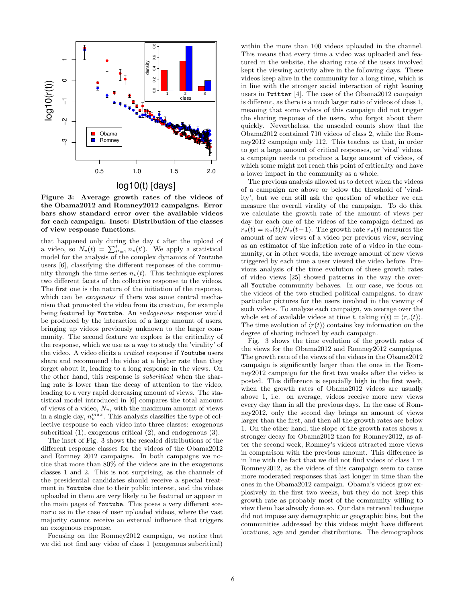

**Figure 3: Average growth rates of the videos of the Obama2012 and Romney2012 campaigns. Error bars show standard error over the available videos for each campaign. Inset: Distribution of the classes of view response functions.**

that happened only during the day t after the upload of a video, so  $N_v(t) = \sum_{t'=1}^t n_v(t')$ . We apply a statistical model for the analysis of the complex dynamics of Youtube users [6], classifying the different responses of the community through the time series  $n_v(t)$ . This technique explores two different facets of the collective response to the videos. The first one is the nature of the initiation of the response, which can be *exogenous* if there was some central mechanism that promoted the video from its creation, for example being featured by Youtube. An endogenous response would be produced by the interaction of a large amount of users, bringing up videos previously unknown to the larger community. The second feature we explore is the criticality of the response, which we use as a way to study the 'virality' of the video. A video elicits a *critical* response if Youtube users share and recommend the video at a higher rate than they forget about it, leading to a long response in the views. On the other hand, this response is *subcritical* when the sharing rate is lower than the decay of attention to the video, leading to a very rapid decreasing amount of views. The statistical model introduced in [6] compares the total amount of views of a video,  $N_v$ , with the maximum amount of views in a single day,  $n_v^{max}$ . This analysis classifies the type of collective response to each video into three classes: exogenous subcritical (1), exogenous critical (2), and endogenous (3).

The inset of Fig. 3 shows the rescaled distributions of the different response classes for the videos of the Obama2012 and Romney 2012 campaigns. In both campaigns we notice that more than 80% of the videos are in the exogenous classes 1 and 2. This is not surprising, as the channels of the presidential candidates should receive a special treatment in Youtube due to their public interest, and the videos uploaded in them are very likely to be featured or appear in the main pages of Youtube. This poses a very different scenario as in the case of user uploaded videos, where the vast majority cannot receive an external influence that triggers an exogenous response.

Focusing on the Romney2012 campaign, we notice that we did not find any video of class 1 (exogenous subcritical)

within the more than 100 videos uploaded in the channel. This means that every time a video was uploaded and featured in the website, the sharing rate of the users involved kept the viewing activity alive in the following days. These videos keep alive in the community for a long time, which is in line with the stronger social interaction of right leaning users in Twitter [4]. The case of the Obama2012 campaign is different, as there is a much larger ratio of videos of class 1, meaning that some videos of this campaign did not trigger the sharing response of the users, who forgot about them quickly. Nevertheless, the unscaled counts show that the Obama2012 contained 710 videos of class 2, while the Romney2012 campaign only 112. This teaches us that, in order to get a large amount of critical responses, or 'viral' videos, a campaign needs to produce a large amount of videos, of which some might not reach this point of criticality and have a lower impact in the community as a whole.

The previous analysis allowed us to detect when the videos of a campaign are above or below the threshold of 'virality', but we can still ask the question of whether we can measure the overall virality of the campaign. To do this, we calculate the growth rate of the amount of views per day for each one of the videos of the campaign defined as  $r_v(t) = n_v(t)/N_v(t-1)$ . The growth rate  $r_v(t)$  measures the amount of new views of a video per previous view, serving as an estimator of the infection rate of a video in the community, or in other words, the average amount of new views triggered by each time a user viewed the video before. Previous analysis of the time evolution of these growth rates of video views [25] showed patterns in the way the overall Youtube community behaves. In our case, we focus on the videos of the two studied political campaigns, to draw particular pictures for the users involved in the viewing of such videos. To analyze each campaign, we average over the whole set of available videos at time t, taking  $r(t) = \langle r_v(t) \rangle$ . The time evolution of  $\langle r(t) \rangle$  contains key information on the degree of sharing induced by each campaign.

Fig. 3 shows the time evolution of the growth rates of the views for the Obama2012 and Romney2012 campaigns. The growth rate of the views of the videos in the Obama2012 campaign is significantly larger than the ones in the Romney2012 campaign for the first two weeks after the video is posted. This difference is especially high in the first week, when the growth rates of Obama2012 videos are usually above 1, i.e. on average, videos receive more new views every day than in all the previous days. In the case of Romney2012, only the second day brings an amount of views larger than the first, and then all the growth rates are below 1. On the other hand, the slope of the growth rates shows a stronger decay for Obama2012 than for Romney2012, as after the second week, Romney's videos attracted more views in comparison with the previous amount. This difference is in line with the fact that we did not find videos of class 1 in Romney2012, as the videos of this campaign seem to cause more moderated responses that last longer in time than the ones in the Obama2012 campaign. Obama's videos grow explosively in the first two weeks, but they do not keep this growth rate as probably most of the community willing to view them has already done so. Our data retrieval technique did not impose any demographic or geographic bias, but the communities addressed by this videos might have different locations, age and gender distributions. The demographics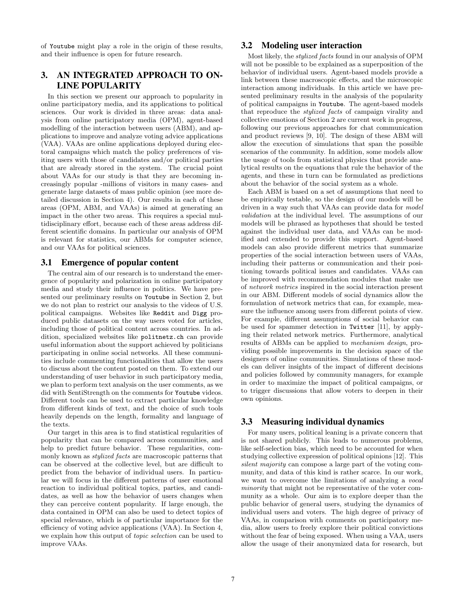of Youtube might play a role in the origin of these results, and their influence is open for future research.

# **3. AN INTEGRATED APPROACH TO ON-LINE POPULARITY**

In this section we present our approach to popularity in online participatory media, and its applications to political sciences. Our work is divided in three areas: data analysis from online participatory media (OPM), agent-based modelling of the interaction between users (ABM), and applications to improve and analyze voting advice applications (VAA). VAAs are online applications deployed during electoral campaigns which match the policy preferences of visiting users with those of candidates and/or political parties that are already stored in the system. The crucial point about VAAs for our study is that they are becoming increasingly popular -millions of visitors in many cases- and generate large datasets of mass public opinion (see more detailed discussion in Section 4). Our results in each of these areas (OPM, ABM, and VAAs) is aimed at generating an impact in the other two areas. This requires a special multidisciplinary effort, because each of these areas address different scientific domains. In particular our analysis of OPM is relevant for statistics, our ABMs for computer science, and our VAAs for political sciences.

## **3.1 Emergence of popular content**

The central aim of our research is to understand the emergence of popularity and polarization in online participatory media and study their influence in politics. We have presented our preliminary results on Youtube in Section 2, but we do not plan to restrict our analysis to the videos of U.S. political campaigns. Websites like Reddit and Digg produced public datasets on the way users voted for articles, including those of political content across countries. In addition, specialized websites like politnetz.ch can provide useful information about the support achieved by politicians participating in online social networks. All these communities include commenting functionalities that allow the users to discuss about the content posted on them. To extend our understanding of user behavior in such participatory media, we plan to perform text analysis on the user comments, as we did with SentiStrength on the comments for Youtube videos. Different tools can be used to extract particular knowledge from different kinds of text, and the choice of such tools heavily depends on the length, formality and language of the texts.

Our target in this area is to find statistical regularities of popularity that can be compared across communities, and help to predict future behavior. These regularities, commonly known as stylized facts are macroscopic patterns that can be observed at the collective level, but are difficult to predict from the behavior of individual users. In particular we will focus in the different patterns of user emotional reaction to individual political topics, parties, and candidates, as well as how the behavior of users changes when they can perceive content popularity. If large enough, the data contained in OPM can also be used to detect topics of special relevance, which is of particular importance for the efficiency of voting advice applications (VAA). In Section 4, we explain how this output of topic selection can be used to improve VAAs.

## **3.2 Modeling user interaction**

Most likely, the stylized facts found in our analysis of OPM will not be possible to be explained as a superposition of the behavior of individual users. Agent-based models provide a link between these macroscopic effects, and the microscopic interaction among individuals. In this article we have presented preliminary results in the analysis of the popularity of political campaigns in Youtube. The agent-based models that reproduce the stylized facts of campaign virality and collective emotions of Section 2 are current work in progress, following our previous approaches for chat communication and product reviews [9, 10]. The design of these ABM will allow the execution of simulations that span the possible scenarios of the community. In addition, some models allow the usage of tools from statistical physics that provide analytical results on the equations that rule the behavior of the agents, and these in turn can be formulated as predictions about the behavior of the social system as a whole.

Each ABM is based on a set of assumptions that need to be empirically testable, so the design of our models will be driven in a way such that VAAs can provide data for model validation at the individual level. The assumptions of our models will be phrased as hypotheses that should be tested against the individual user data, and VAAs can be modified and extended to provide this support. Agent-based models can also provide different metrics that summarize properties of the social interaction between users of VAAs, including their patterns or communication and their positioning towards political issues and candidates. VAAs can be improved with recommendation modules that make use of network metrics inspired in the social interaction present in our ABM. Different models of social dynamics allow the formulation of network metrics that can, for example, measure the influence among users from different points of view. For example, different assumptions of social behavior can be used for spammer detection in Twitter [11], by applying their related network metrics. Furthermore, analytical results of ABMs can be applied to mechanism design, providing possible improvements in the decision space of the designers of online communities. Simulations of these models can deliver insights of the impact of different decisions and policies followed by community managers, for example in order to maximize the impact of political campaigns, or to trigger discussions that allow voters to deepen in their own opinions.

## **3.3 Measuring individual dynamics**

For many users, political leaning is a private concern that is not shared publicly. This leads to numerous problems, like self-selection bias, which need to be accounted for when studying collective expression of political opinions [12]. This silent majority can compose a large part of the voting community, and data of this kind is rather scarce. In our work, we want to overcome the limitations of analyzing a vocal minority that might not be representative of the voter community as a whole. Our aim is to explore deeper than the public behavior of general users, studying the dynamics of individual users and voters. The high degree of privacy of VAAs, in comparison with comments on participatory media, allow users to freely explore their political convictions without the fear of being exposed. When using a VAA, users allow the usage of their anonymized data for research, but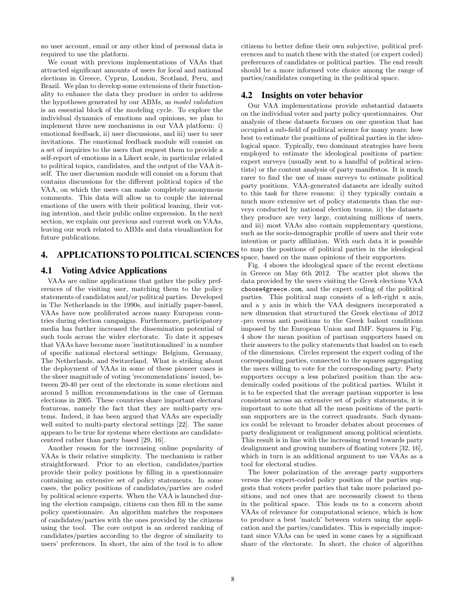no user account, email or any other kind of personal data is required to use the platform.

We count with previous implementations of VAAs that attracted significant amounts of users for local and national elections in Greece, Cyprus, London, Scotland, Peru, and Brazil. We plan to develop some extensions of their functionality to enhance the data they produce in order to address the hypotheses generated by our ABMs, as model validation is an essential block of the modeling cycle. To explore the individual dynamics of emotions and opinions, we plan to implement three new mechanisms in our VAA platform: i) emotional feedback, ii) user discussions, and iii) user to user invitations. The emotional feedback module will consist on a set of inquiries to the users that request them to provide a self-report of emotions in a Likert scale, in particular related to political topics, candidates, and the output of the VAA itself. The user discussion module will consist on a forum that contains discussions for the different political topics of the VAA, on which the users can make completely anonymous comments. This data will allow us to couple the internal emotions of the users with their political leaning, their voting intention, and their public online expression. In the next section, we explain our previous and current work on VAAs, leaving our work related to ABMs and data visualization for future publications.

## **4. APPLICATIONS TO POLITICAL SCIENCES**

#### **4.1 Voting Advice Applications**

VAAs are online applications that gather the policy preferences of the visiting user, matching them to the policy statements of candidates and/or political parties. Developed in The Netherlands in the 1990s, and initially paper-based, VAAs have now proliferated across many European countries during election campaigns. Furthermore, participatory media has further increased the dissemination potential of such tools across the wider electorate. To date it appears that VAAs have become more 'institutionalized' in a number of specific national electoral settings: Belgium, Germany, The Netherlands, and Switzerland. What is striking about the deployment of VAAs in some of these pioneer cases is the sheer magnitude of voting 'recommendations' issued, between 20-40 per cent of the electorate in some elections and around 5 million recommendations in the case of German elections in 2005. These countries share important electoral featureas, namely the fact that they are multi-party systems. Indeed, it has been argued that VAAs are especially well suited to multi-party electoral settings [22]. The same appears to be true for systems where elections are candidatecentred rather than party based [29, 16].

Another reason for the increasing online popularity of VAAs is their relative simplicity. The mechanism is rather straightforward. Prior to an election, candidates/parties provide their policy positions by filling in a questionnaire containing an extensive set of policy statements. In some cases, the policy positions of candidates/parties are coded by political science experts. When the VAA is launched during the election campaign, citizens can then fill in the same policy questionnaire. An algorithm matches the responses of candidates/parties with the ones provided by the citizens using the tool. The core output is an ordered ranking of candidates/parties according to the degree of similarity to users' preferences. In short, the aim of the tool is to allow

citizens to better define their own subjective, political preferences and to match these with the stated (or expert coded) preferences of candidates or political parties. The end result should be a more informed vote choice among the range of parties/candidates competing in the political space.

#### **4.2 Insights on voter behavior**

Our VAA implementations provide substantial datasets on the individual voter and party policy questionnaires. Our analysis of these datasets focuses on one question that has occupied a sub-field of political science for many years: how best to estimate the positions of political parties in the ideological space. Typically, two dominant strategies have been employed to estimate the ideological positions of parties: expert surveys (usually sent to a handful of political scientists) or the content analysis of party manifestos. It is much rarer to find the use of mass surveys to estimate political party positions. VAA-generated datasets are ideally suited to this task for three reasons: i) they typically contain a much more extensive set of policy statements than the surveys conducted by national election teams, ii) the datasets they produce are very large, containing millions of users, and iii) most VAAs also contain supplementary questions, such as the socio-demographic profile of users and their vote intention or party affiliation. With such data it is possible to map the positions of political parties in the ideological space, based on the mass opinions of their supporters.

Fig. 4 shows the ideological space of the recent elections in Greece on May 6th 2012. The scatter plot shows the data provided by the users visiting the Greek elections VAA choose4greece.com, and the expert coding of the political parties. This political map consists of a left-right x axis, and a y axis in which the VAA designers incorporated a new dimension that structured the Greek elections of 2012 -pro versus anti positions to the Greek bailout conditions imposed by the European Union and IMF. Squares in Fig. 4 show the mean position of partisan supporters based on their answers to the policy statements that loaded on to each of the dimensions. Circles represent the expert coding of the corresponding parties, connected to the squares aggregating the users willing to vote for the corresponding party. Party supporters occupy a less polarized position than the academically coded positions of the political parties. Whilst it is to be expected that the average partisan supporter is less consistent across an extensive set of policy statements, it is important to note that all the mean positions of the partisan supporters are in the correct quadrants. Such dynamics could be relevant to broader debates about processes of party dealignment or realignment among political scientists. This result is in line with the increasing trend towards party dealignment and growing numbers of floating voters [32, 16], which in turn is an additional argument to use VAAs as a tool for electoral studies.

The lower polarization of the average party supporters versus the expert-coded policy position of the parties suggests that voters prefer parties that take more polarized positions, and not ones that are necessarily closest to them in the political space. This leads us to a concern about VAAs of relevance for computational science, which is how to produce a best 'match' between voters using the application and the parties/candidates. This is especially important since VAAs can be used in some cases by a significant share of the electorate. In short, the choice of algorithm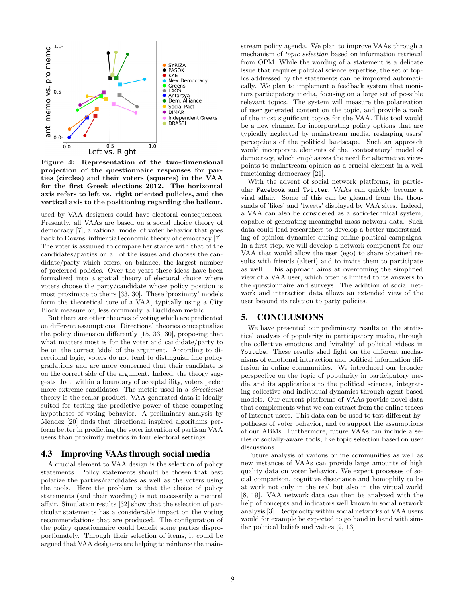

**Figure 4: Representation of the two-dimensional projection of the questionnaire responses for parties (circles) and their voters (squares) in the VAA for the first Greek elections 2012. The horizontal axis refers to left vs. right oriented policies, and the vertical axis to the positioning regarding the bailout.**

used by VAA designers could have electoral consequences. Presently, all VAAs are based on a social choice theory of democracy [7], a rational model of voter behavior that goes back to Downs' influential economic theory of democracy [7]. The voter is assumed to compare her stance with that of the candidates/parties on all of the issues and chooses the candidate/party which offers, on balance, the largest number of preferred policies. Over the years these ideas have been formalized into a spatial theory of electoral choice where voters choose the party/candidate whose policy position is most proximate to theirs [33, 30]. These 'proximity' models form the theoretical core of a VAA, typically using a City Block measure or, less commonly, a Euclidean metric.

But there are other theories of voting which are predicated on different assumptions. Directional theories conceptualize the policy dimension differently [15, 33, 30], proposing that what matters most is for the voter and candidate/party to be on the correct 'side' of the argument. According to directional logic, voters do not tend to distinguish fine policy gradations and are more concerned that their candidate is on the correct side of the argument. Indeed, the theory suggests that, within a boundary of acceptability, voters prefer more extreme candidates. The metric used in a directional theory is the scalar product. VAA generated data is ideally suited for testing the predictive power of these competing hypotheses of voting behavior. A preliminary analysis by Mendez [20] finds that directional inspired algorithms perform better in predicting the voter intention of partisan VAA users than proximity metrics in four electoral settings.

#### **4.3 Improving VAAs through social media**

A crucial element to VAA design is the selection of policy statements. Policy statements should be chosen that best polarize the parties/candidates as well as the voters using the tools. Here the problem is that the choice of policy statements (and their wording) is not necessarily a neutral affair. Simulation results [32] show that the selection of particular statements has a considerable impact on the voting recommendations that are produced. The configuration of the policy questionnaire could benefit some parties disproportionately. Through their selection of items, it could be argued that VAA designers are helping to reinforce the mainstream policy agenda. We plan to improve VAAs through a mechanism of topic selection based on information retrieval from OPM. While the wording of a statement is a delicate issue that requires political science expertise, the set of topics addressed by the statements can be improved automatically. We plan to implement a feedback system that monitors participatory media, focusing on a large set of possible relevant topics. The system will measure the polarization of user generated content on the topic, and provide a rank of the most significant topics for the VAA. This tool would be a new channel for incorporating policy options that are typically neglected by mainstream media, reshaping users' perceptions of the political landscape. Such an approach would incorporate elements of the 'contestatory' model of democracy, which emphasizes the need for alternative viewpoints to mainstream opinion as a crucial element in a well functioning democracy [21].

With the advent of social network platforms, in particular Facebook and Twitter, VAAs can quickly become a viral affair. Some of this can be gleaned from the thousands of 'likes' and 'tweets' displayed by VAA sites. Indeed, a VAA can also be considered as a socio-technical system, capable of generating meaningful mass network data. Such data could lead researchers to develop a better understanding of opinion dynamics during online political campaigns. In a first step, we will develop a network component for our VAA that would allow the user (ego) to share obtained results with friends (alteri) and to invite them to participate as well. This approach aims at overcoming the simplified view of a VAA user, which often is limited to its answers to the questionnaire and surveys. The addition of social network and interaction data allows an extended view of the user beyond its relation to party policies.

## **5. CONCLUSIONS**

We have presented our preliminary results on the statistical analysis of popularity in participatory media, through the collective emotions and 'virality' of political videos in Youtube. These results shed light on the different mechanisms of emotional interaction and political information diffusion in online communities. We introduced our broader perspective on the topic of popularity in participatory media and its applications to the political sciences, integrating collective and individual dynamics through agent-based models. Our current platforms of VAAs provide novel data that complements what we can extract from the online traces of Internet users. This data can be used to test different hypotheses of voter behavior, and to support the assumptions of our ABMs. Furthermore, future VAAs can include a series of socially-aware tools, like topic selection based on user discussions.

Future analysis of various online communities as well as new instances of VAAs can provide large amounts of high quality data on voter behavior. We expect processes of social comparison, cognitive dissonance and homophily to be at work not only in the real but also in the virtual world [8, 19]. VAA network data can then be analyzed with the help of concepts and indicators well known in social network analysis [3]. Reciprocity within social networks of VAA users would for example be expected to go hand in hand with similar political beliefs and values [2, 13].